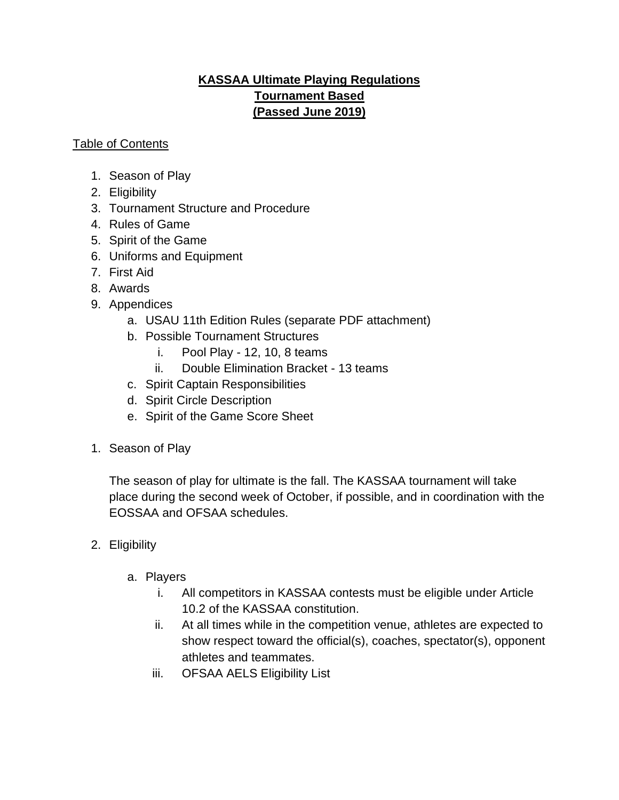## **KASSAA Ultimate Playing Regulations Tournament Based (Passed June 2019)**

#### Table of Contents

- 1. Season of Play
- 2. Eligibility
- 3. Tournament Structure and Procedure
- 4. Rules of Game
- 5. Spirit of the Game
- 6. Uniforms and Equipment
- 7. First Aid
- 8. Awards
- 9. Appendices
	- a. USAU 11th Edition Rules (separate PDF attachment)
	- b. Possible Tournament Structures
		- i. Pool Play 12, 10, 8 teams
		- ii. Double Elimination Bracket 13 teams
	- c. Spirit Captain Responsibilities
	- d. Spirit Circle Description
	- e. Spirit of the Game Score Sheet
- 1. Season of Play

The season of play for ultimate is the fall. The KASSAA tournament will take place during the second week of October, if possible, and in coordination with the EOSSAA and OFSAA schedules.

- 2. Eligibility
	- a. Players
		- i. All competitors in KASSAA contests must be eligible under Article 10.2 of the KASSAA constitution.
		- ii. At all times while in the competition venue, athletes are expected to show respect toward the official(s), coaches, spectator(s), opponent athletes and teammates.
		- iii. OFSAA AELS Eligibility List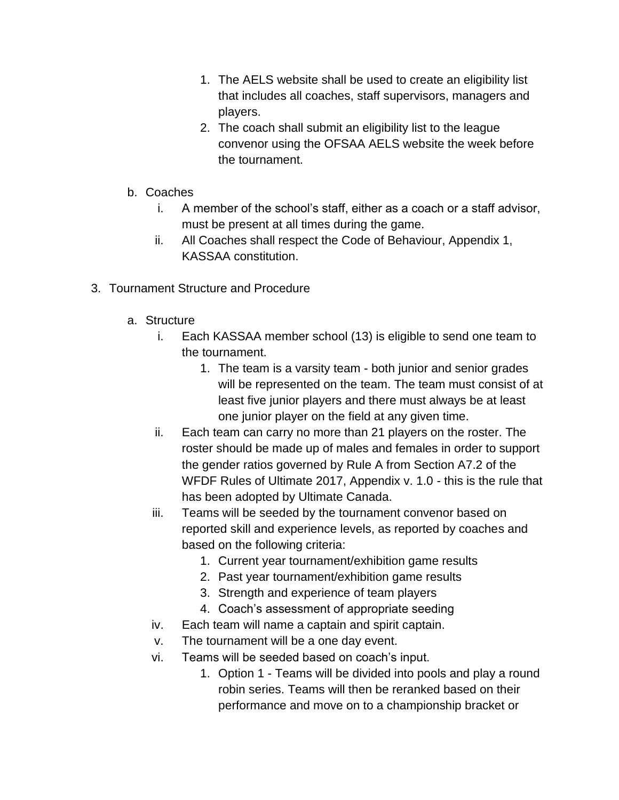- 1. The AELS website shall be used to create an eligibility list that includes all coaches, staff supervisors, managers and players.
- 2. The coach shall submit an eligibility list to the league convenor using the OFSAA AELS website the week before the tournament.
- b. Coaches
	- i. A member of the school's staff, either as a coach or a staff advisor, must be present at all times during the game.
	- ii. All Coaches shall respect the Code of Behaviour, Appendix 1, KASSAA constitution.
- 3. Tournament Structure and Procedure
	- a. Structure
		- i. Each KASSAA member school (13) is eligible to send one team to the tournament.
			- 1. The team is a varsity team both junior and senior grades will be represented on the team. The team must consist of at least five junior players and there must always be at least one junior player on the field at any given time.
		- ii. Each team can carry no more than 21 players on the roster. The roster should be made up of males and females in order to support the gender ratios governed by Rule A from Section A7.2 of the WFDF Rules of Ultimate 2017, Appendix v. 1.0 - this is the rule that has been adopted by Ultimate Canada.
		- iii. Teams will be seeded by the tournament convenor based on reported skill and experience levels, as reported by coaches and based on the following criteria:
			- 1. Current year tournament/exhibition game results
			- 2. Past year tournament/exhibition game results
			- 3. Strength and experience of team players
			- 4. Coach's assessment of appropriate seeding
		- iv. Each team will name a captain and spirit captain.
		- v. The tournament will be a one day event.
		- vi. Teams will be seeded based on coach's input.
			- 1. Option 1 Teams will be divided into pools and play a round robin series. Teams will then be reranked based on their performance and move on to a championship bracket or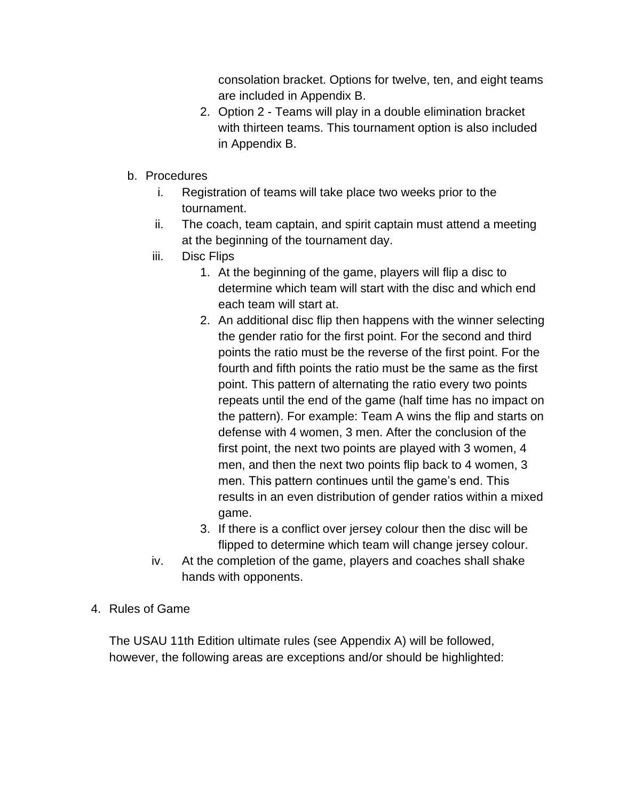consolation bracket. Options for twelve, ten, and eight teams are included in Appendix B.

- 2. Option 2 Teams will play in a double elimination bracket with thirteen teams. This tournament option is also included in Appendix B.
- b. Procedures
	- i. Registration of teams will take place two weeks prior to the tournament.
	- ii. The coach, team captain, and spirit captain must attend a meeting at the beginning of the tournament day.
	- iii. Disc Flips
		- 1. At the beginning of the game, players will flip a disc to determine which team will start with the disc and which end each team will start at.
		- 2. An additional disc flip then happens with the winner selecting the gender ratio for the first point. For the second and third points the ratio must be the reverse of the first point. For the fourth and fifth points the ratio must be the same as the first point. This pattern of alternating the ratio every two points repeats until the end of the game (half time has no impact on the pattern). For example: Team A wins the flip and starts on defense with 4 women, 3 men. After the conclusion of the first point, the next two points are played with 3 women, 4 men, and then the next two points flip back to 4 women, 3 men. This pattern continues until the game's end. This results in an even distribution of gender ratios within a mixed game.
		- 3. If there is a conflict over jersey colour then the disc will be flipped to determine which team will change jersey colour.
	- iv. At the completion of the game, players and coaches shall shake hands with opponents.
- 4. Rules of Game

The USAU 11th Edition ultimate rules (see Appendix A) will be followed, however, the following areas are exceptions and/or should be highlighted: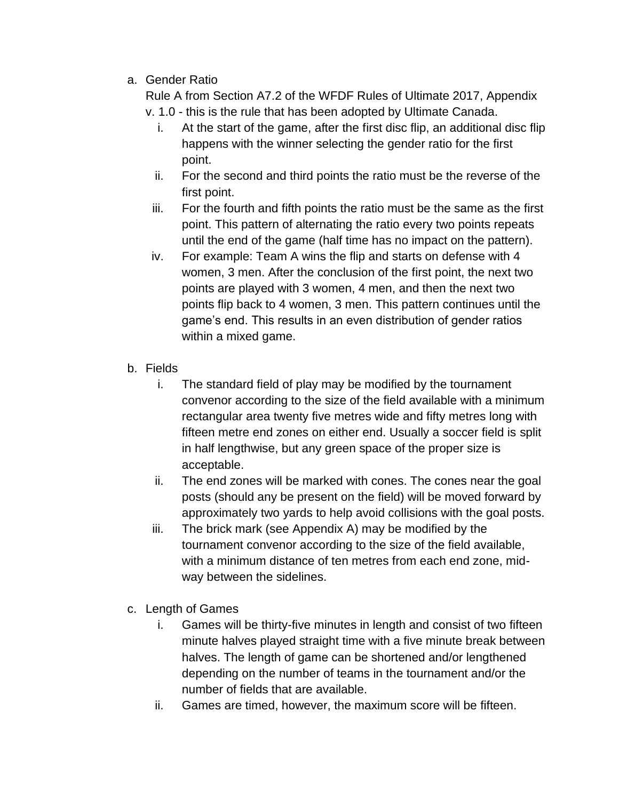a. Gender Ratio

Rule A from Section A7.2 of the WFDF Rules of Ultimate 2017, Appendix v. 1.0 - this is the rule that has been adopted by Ultimate Canada.

- i. At the start of the game, after the first disc flip, an additional disc flip happens with the winner selecting the gender ratio for the first point.
- ii. For the second and third points the ratio must be the reverse of the first point.
- iii. For the fourth and fifth points the ratio must be the same as the first point. This pattern of alternating the ratio every two points repeats until the end of the game (half time has no impact on the pattern).
- iv. For example: Team A wins the flip and starts on defense with 4 women, 3 men. After the conclusion of the first point, the next two points are played with 3 women, 4 men, and then the next two points flip back to 4 women, 3 men. This pattern continues until the game's end. This results in an even distribution of gender ratios within a mixed game.
- b. Fields
	- i. The standard field of play may be modified by the tournament convenor according to the size of the field available with a minimum rectangular area twenty five metres wide and fifty metres long with fifteen metre end zones on either end. Usually a soccer field is split in half lengthwise, but any green space of the proper size is acceptable.
	- ii. The end zones will be marked with cones. The cones near the goal posts (should any be present on the field) will be moved forward by approximately two yards to help avoid collisions with the goal posts.
	- iii. The brick mark (see Appendix A) may be modified by the tournament convenor according to the size of the field available, with a minimum distance of ten metres from each end zone, midway between the sidelines.
- c. Length of Games
	- i. Games will be thirty-five minutes in length and consist of two fifteen minute halves played straight time with a five minute break between halves. The length of game can be shortened and/or lengthened depending on the number of teams in the tournament and/or the number of fields that are available.
	- ii. Games are timed, however, the maximum score will be fifteen.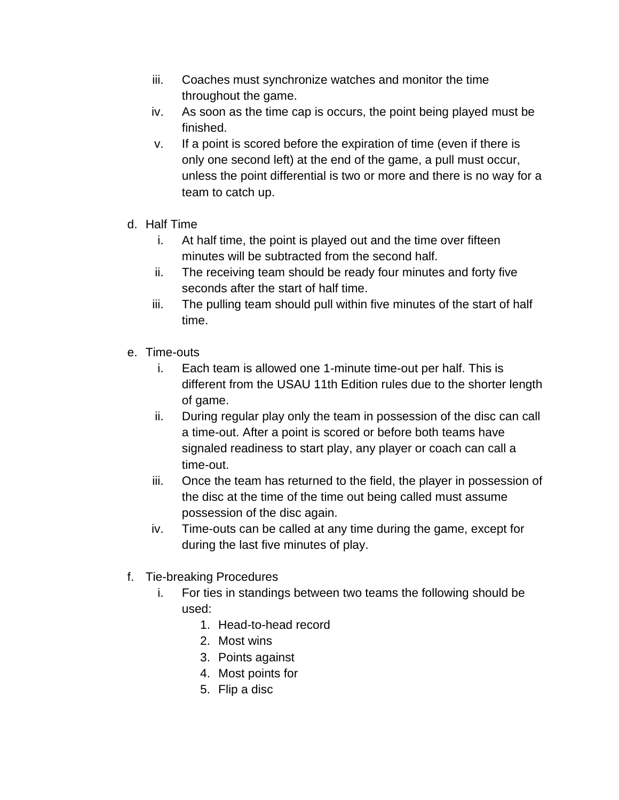- iii. Coaches must synchronize watches and monitor the time throughout the game.
- iv. As soon as the time cap is occurs, the point being played must be finished.
- v. If a point is scored before the expiration of time (even if there is only one second left) at the end of the game, a pull must occur, unless the point differential is two or more and there is no way for a team to catch up.
- d. Half Time
	- i. At half time, the point is played out and the time over fifteen minutes will be subtracted from the second half.
	- ii. The receiving team should be ready four minutes and forty five seconds after the start of half time.
	- iii. The pulling team should pull within five minutes of the start of half time.
- e. Time-outs
	- i. Each team is allowed one 1-minute time-out per half. This is different from the USAU 11th Edition rules due to the shorter length of game.
	- ii. During regular play only the team in possession of the disc can call a time-out. After a point is scored or before both teams have signaled readiness to start play, any player or coach can call a time-out.
	- iii. Once the team has returned to the field, the player in possession of the disc at the time of the time out being called must assume possession of the disc again.
	- iv. Time-outs can be called at any time during the game, except for during the last five minutes of play.
- f. Tie-breaking Procedures
	- i. For ties in standings between two teams the following should be used:
		- 1. Head-to-head record
		- 2. Most wins
		- 3. Points against
		- 4. Most points for
		- 5. Flip a disc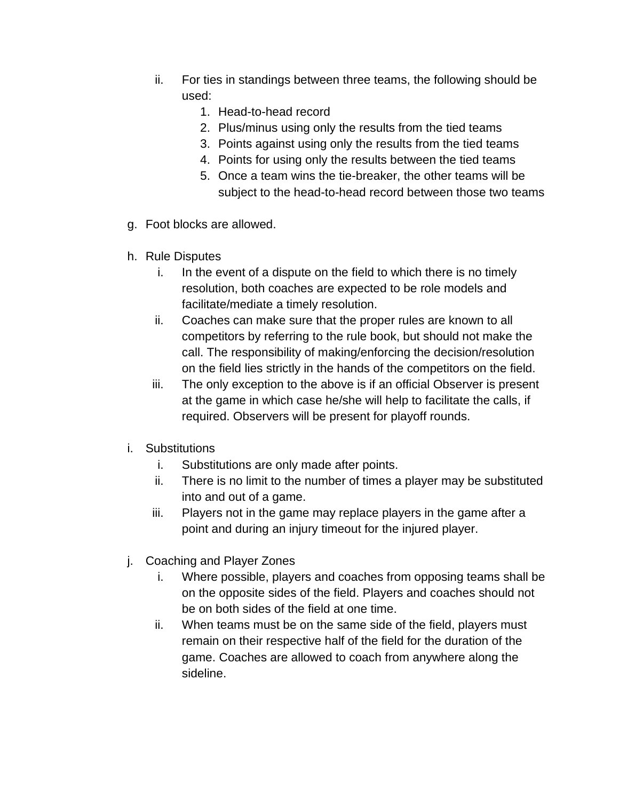- ii. For ties in standings between three teams, the following should be used:
	- 1. Head-to-head record
	- 2. Plus/minus using only the results from the tied teams
	- 3. Points against using only the results from the tied teams
	- 4. Points for using only the results between the tied teams
	- 5. Once a team wins the tie-breaker, the other teams will be subject to the head-to-head record between those two teams
- g. Foot blocks are allowed.
- h. Rule Disputes
	- i. In the event of a dispute on the field to which there is no timely resolution, both coaches are expected to be role models and facilitate/mediate a timely resolution.
	- ii. Coaches can make sure that the proper rules are known to all competitors by referring to the rule book, but should not make the call. The responsibility of making/enforcing the decision/resolution on the field lies strictly in the hands of the competitors on the field.
	- iii. The only exception to the above is if an official Observer is present at the game in which case he/she will help to facilitate the calls, if required. Observers will be present for playoff rounds.
- i. Substitutions
	- i. Substitutions are only made after points.
	- ii. There is no limit to the number of times a player may be substituted into and out of a game.
	- iii. Players not in the game may replace players in the game after a point and during an injury timeout for the injured player.
- j. Coaching and Player Zones
	- i. Where possible, players and coaches from opposing teams shall be on the opposite sides of the field. Players and coaches should not be on both sides of the field at one time.
	- ii. When teams must be on the same side of the field, players must remain on their respective half of the field for the duration of the game. Coaches are allowed to coach from anywhere along the sideline.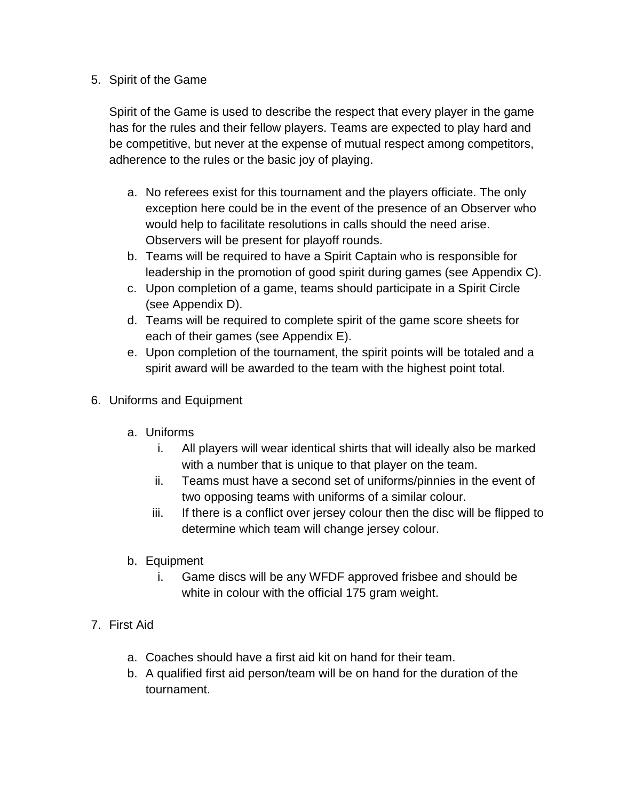#### 5. Spirit of the Game

Spirit of the Game is used to describe the respect that every player in the game has for the rules and their fellow players. Teams are expected to play hard and be competitive, but never at the expense of mutual respect among competitors, adherence to the rules or the basic joy of playing.

- a. No referees exist for this tournament and the players officiate. The only exception here could be in the event of the presence of an Observer who would help to facilitate resolutions in calls should the need arise. Observers will be present for playoff rounds.
- b. Teams will be required to have a Spirit Captain who is responsible for leadership in the promotion of good spirit during games (see Appendix C).
- c. Upon completion of a game, teams should participate in a Spirit Circle (see Appendix D).
- d. Teams will be required to complete spirit of the game score sheets for each of their games (see Appendix E).
- e. Upon completion of the tournament, the spirit points will be totaled and a spirit award will be awarded to the team with the highest point total.
- 6. Uniforms and Equipment
	- a. Uniforms
		- i. All players will wear identical shirts that will ideally also be marked with a number that is unique to that player on the team.
		- ii. Teams must have a second set of uniforms/pinnies in the event of two opposing teams with uniforms of a similar colour.
		- iii. If there is a conflict over jersey colour then the disc will be flipped to determine which team will change jersey colour.
	- b. Equipment
		- i. Game discs will be any WFDF approved frisbee and should be white in colour with the official 175 gram weight.
- 7. First Aid
	- a. Coaches should have a first aid kit on hand for their team.
	- b. A qualified first aid person/team will be on hand for the duration of the tournament.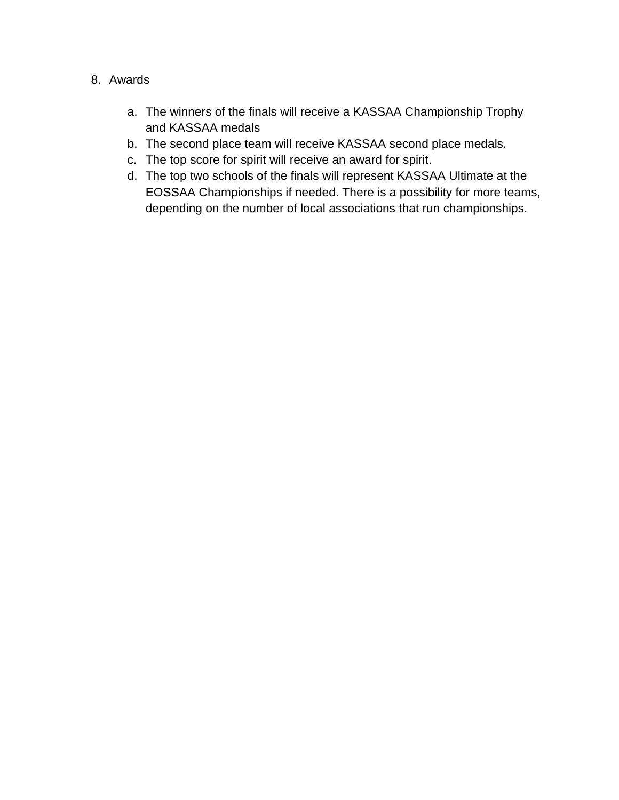#### 8. Awards

- a. The winners of the finals will receive a KASSAA Championship Trophy and KASSAA medals
- b. The second place team will receive KASSAA second place medals.
- c. The top score for spirit will receive an award for spirit.
- d. The top two schools of the finals will represent KASSAA Ultimate at the EOSSAA Championships if needed. There is a possibility for more teams, depending on the number of local associations that run championships.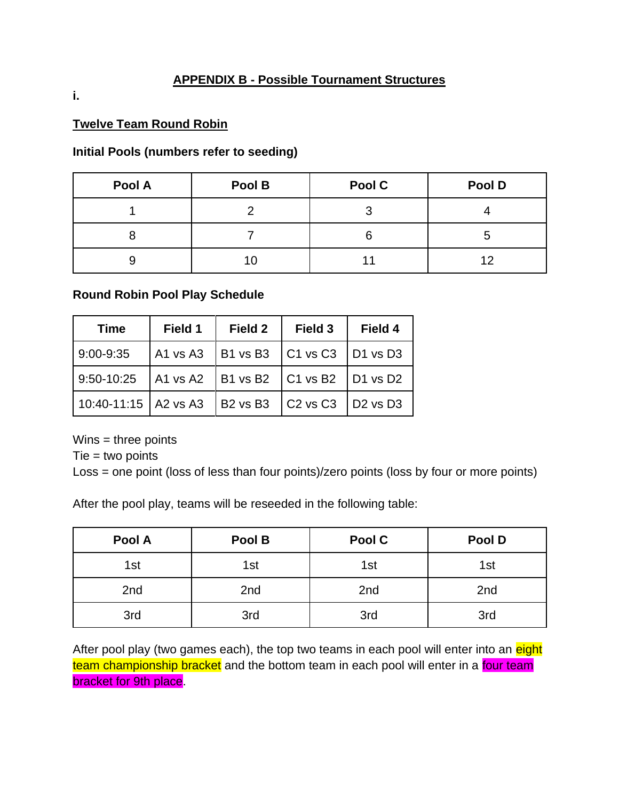#### **APPENDIX B - Possible Tournament Structures**

**i.**

#### **Twelve Team Round Robin**

#### **Initial Pools (numbers refer to seeding)**

| Pool A | Pool B | Pool C | Pool D |
|--------|--------|--------|--------|
|        |        |        |        |
|        |        | h      |        |
|        | 10     |        |        |

#### **Round Robin Pool Play Schedule**

| <b>Time</b>                                            | Field 1 | <b>Field 2</b> | Field 3                                            | Field 4 |
|--------------------------------------------------------|---------|----------------|----------------------------------------------------|---------|
| 9:00-9:35                                              |         |                | A1 vs A3   B1 vs B3   C1 vs C3   D1 vs D3          |         |
| 9:50-10:25   A1 vs A2   B1 vs B2   C1 vs B2   D1 vs D2 |         |                |                                                    |         |
| 10:40-11:15   A2 vs A3                                 |         |                | $\vert$ B2 vs B3 $\vert$ C2 vs C3 $\vert$ D2 vs D3 |         |

 $Wins =$  three points

 $Tie = two points$ 

Loss = one point (loss of less than four points)/zero points (loss by four or more points)

After the pool play, teams will be reseeded in the following table:

| Pool A | Pool B | Pool C | Pool D |
|--------|--------|--------|--------|
| 1st    | 1st    | 1st    | 1st    |
| 2nd    | 2nd    | 2nd    | 2nd    |
| 3rd    | 3rd    | 3rd    | 3rd    |

After pool play (two games each), the top two teams in each pool will enter into an eight team championship bracket and the bottom team in each pool will enter in a four team bracket for 9th place.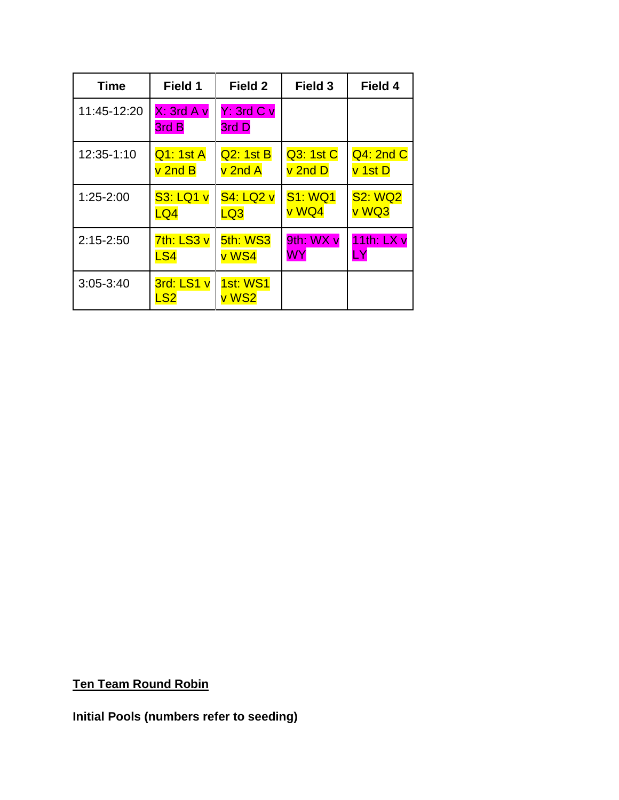| Time          | Field 1             | Field 2                  | Field 3        | Field 4        |
|---------------|---------------------|--------------------------|----------------|----------------|
| 11:45-12:20   | X: 3rd A v<br>3rd B | Y: 3rd C v<br>3rd D      |                |                |
| 12:35-1:10    | Q1: 1st A           | Q2: 1st B                | Q3: 1st C      | Q4: 2nd C      |
|               | v 2nd B             | v 2nd A                  | v 2nd D        | v 1st D        |
| $1:25 - 2:00$ | <b>S3: LQ1 v</b>    | <b>S4: LQ2 v</b>         | <b>S1: WQ1</b> | <b>S2: WQ2</b> |
|               | LQ4                 | LQ3                      | v WQ4          | v WQ3          |
| $2:15 - 2:50$ | 7th: LS3 v          | 5th: WS3                 | 9th: WX v      | 11th: $LXv$    |
|               | LS4                 | v WS4                    | WY             | LY             |
| $3:05 - 3:40$ | 3rd: LS1 v<br>LS2   | <b>1st: WS1</b><br>v WS2 |                |                |

**Ten Team Round Robin**

**Initial Pools (numbers refer to seeding)**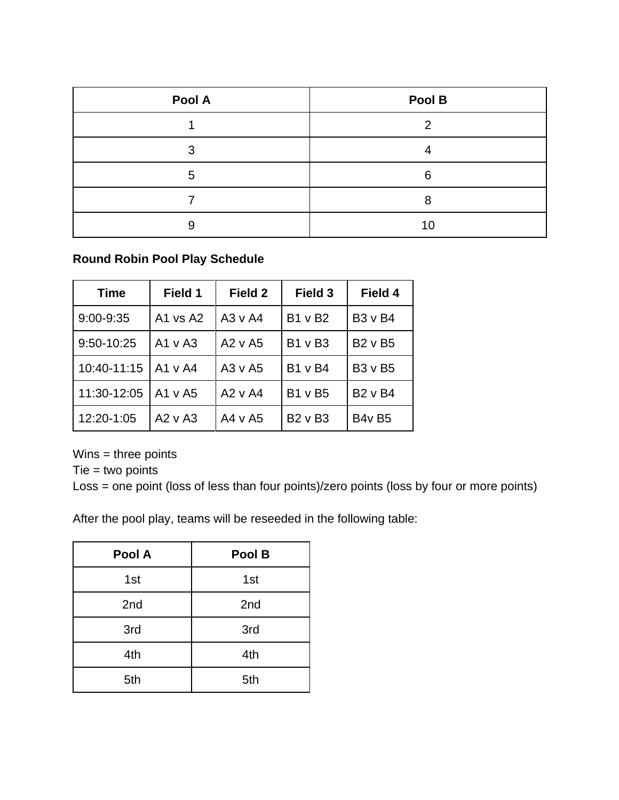| Pool A | Pool B |
|--------|--------|
|        | າ      |
| 3      |        |
| 5      | 6      |
|        |        |
| 9      | 10     |

#### **Round Robin Pool Play Schedule**

| <b>Time</b>   | Field 1      | Field 2      | Field 3        | Field 4               |
|---------------|--------------|--------------|----------------|-----------------------|
| $9:00 - 9:35$ | A1 vs $A2$   | $A3 \vee A4$ | B1 v B2        | <b>B3</b> v B4        |
| 9:50-10:25    | $A1 \vee A3$ | $A2 \vee A5$ | <b>B1 v B3</b> | <b>B2</b> v B5        |
| 10:40-11:15   | l A1 v A4    | A3 v A5      | <b>B1</b> v B4 | <b>B3</b> v <b>B5</b> |
| 11:30-12:05   | $A1 \vee A5$ | $A2 \vee A4$ | <b>B1 v B5</b> | <b>B2 v B4</b>        |
| 12:20-1:05    | $A2 \vee A3$ | A4 v A5      | <b>B2 v B3</b> | <b>B4v B5</b>         |

Wins = three points

 $Tie = two points$ 

Loss = one point (loss of less than four points)/zero points (loss by four or more points)

After the pool play, teams will be reseeded in the following table:

| Pool A | Pool B |
|--------|--------|
| 1st    | 1st    |
| 2nd    | 2nd    |
| 3rd    | 3rd    |
| 4th    | 4th    |
| 5th    | 5th    |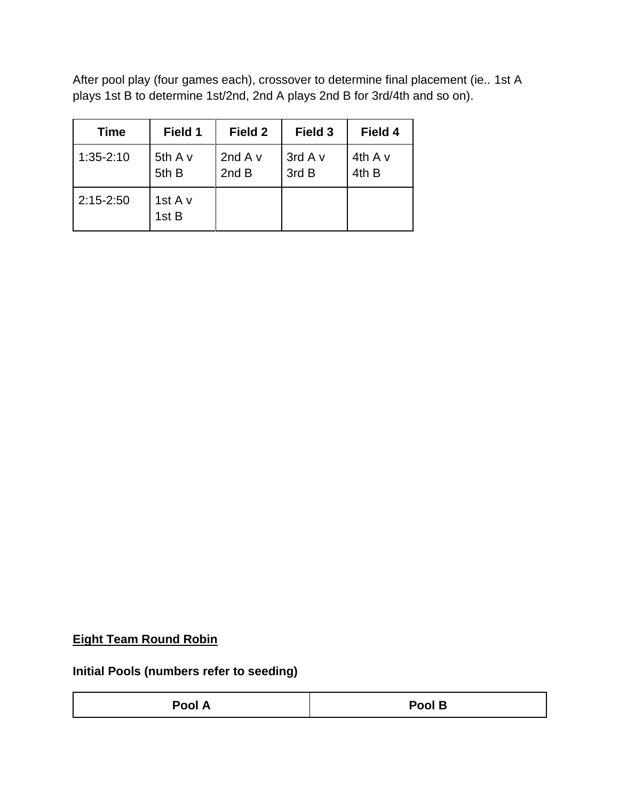After pool play (four games each), crossover to determine final placement (ie.. 1st A plays 1st B to determine 1st/2nd, 2nd A plays 2nd B for 3rd/4th and so on).

| <b>Time</b>   | Field 1              | Field 2              | Field 3          | Field 4              |
|---------------|----------------------|----------------------|------------------|----------------------|
| $1:35 - 2:10$ | 5th $A$ $v$<br>5th B | 2nd $A$ $v$<br>2nd B | 3rd A v<br>3rd B | 4th $A$ $v$<br>4th B |
| $2:15 - 2:50$ | 1st A v<br>1st B     |                      |                  |                      |

#### **Eight Team Round Robin**

**Initial Pools (numbers refer to seeding)**

| Pool A | Pool B |
|--------|--------|
|--------|--------|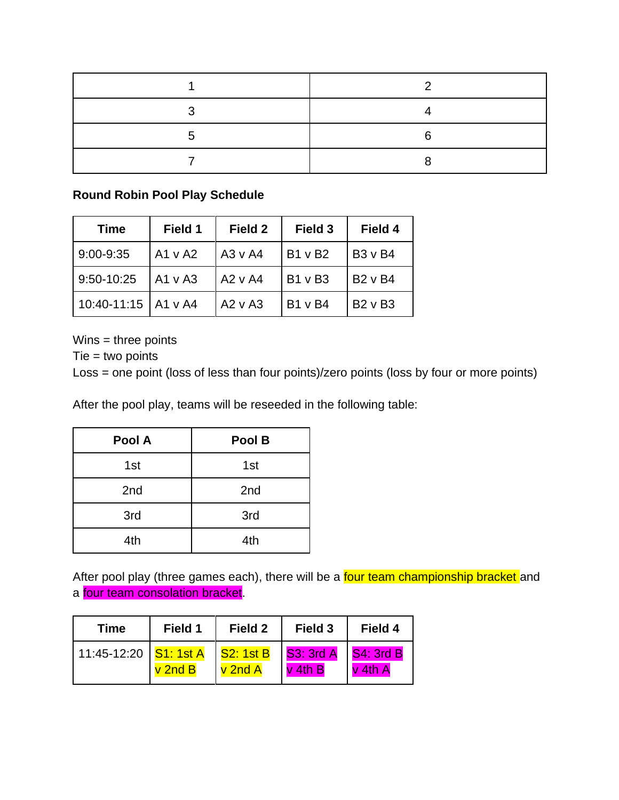#### **Round Robin Pool Play Schedule**

| <b>Time</b>           | Field 1      | Field 2      | Field 3        | Field 4        |
|-----------------------|--------------|--------------|----------------|----------------|
| $9:00 - 9:35$         | $A1 \vee A2$ | $A3 \vee A4$ | B1 v B2        | <b>B3</b> v B4 |
| 9:50-10:25            | $A1 \vee A3$ | $A2 \vee A4$ | <b>B1 v B3</b> | <b>B2 v B4</b> |
| 10:40-11:15   A1 v A4 |              | $A2 \vee A3$ | <b>B1 v B4</b> | $B2 \vee B3$   |

Wins = three points

 $Tie = two points$ 

Loss = one point (loss of less than four points)/zero points (loss by four or more points)

After the pool play, teams will be reseeded in the following table:

| Pool A | Pool B |
|--------|--------|
| 1st    | 1st    |
| 2nd    | 2nd    |
| 3rd    | 3rd    |
| 4th    | 4th    |

After pool play (three games each), there will be a four team championship bracket and a four team consolation bracket.

| Time                                                         | Field 1            | <b>Field 2</b> | Field 3   | Field 4                     |
|--------------------------------------------------------------|--------------------|----------------|-----------|-----------------------------|
| 11:45-12:20   <mark>S1: 1st A   S2: 1st B   S3: 3rd A</mark> | $\mathsf{v}$ 2nd B | $v$ 2nd $A$    | $v$ 4th B | <b>S4: 3rd B</b><br>v 4th A |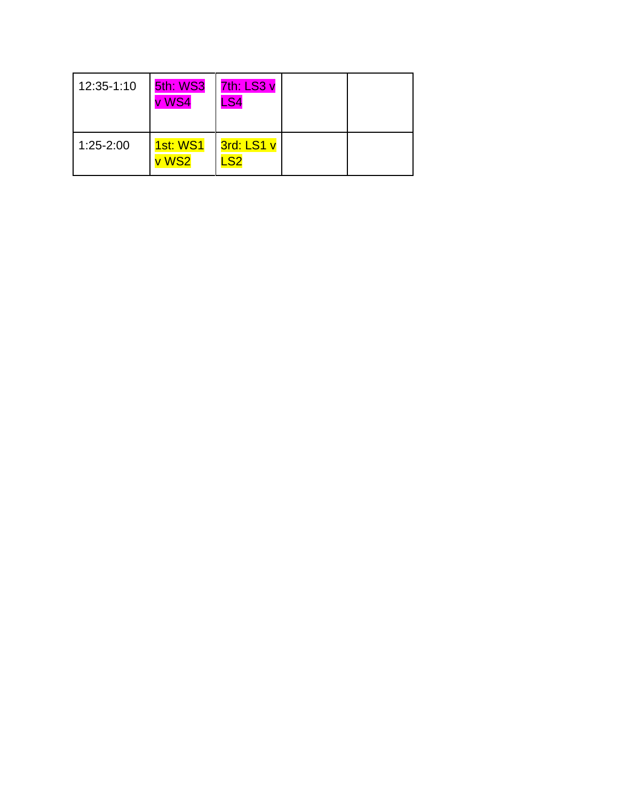| 12:35-1:10    | 5th: WS3<br>v WS4        | 7th: LS3 v<br>.S4                       |  |
|---------------|--------------------------|-----------------------------------------|--|
| $1:25 - 2:00$ | <b>1st: WS1</b><br>v WS2 | 3rd: LS1 v<br>$\overline{\mathsf{.}$ S2 |  |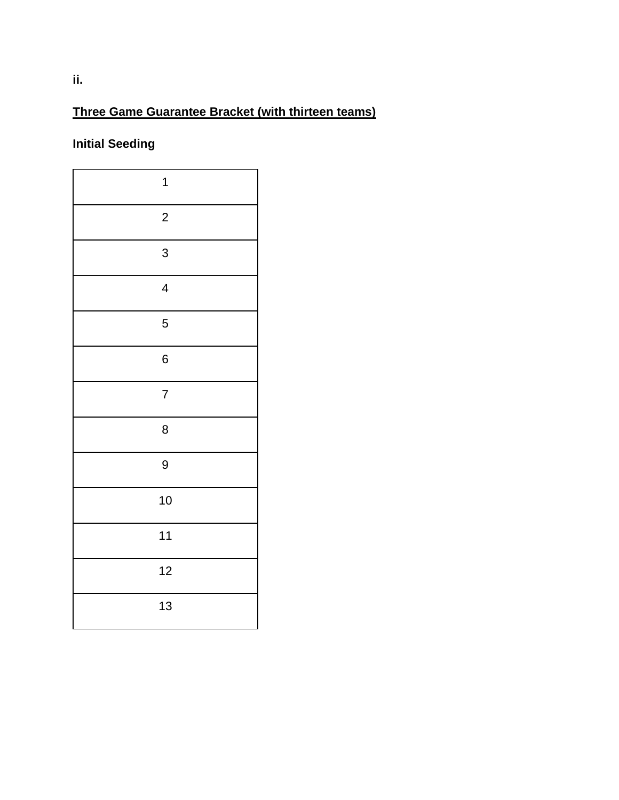## **Three Game Guarantee Bracket (with thirteen teams)**

# **Initial Seeding**

| $\mathbf{1}$             |  |
|--------------------------|--|
| $\overline{c}$           |  |
| 3                        |  |
| $\overline{\mathcal{A}}$ |  |
| 5                        |  |
| 6                        |  |
| $\overline{7}$           |  |
| 8                        |  |
| 9                        |  |
| 10                       |  |
| 11                       |  |
| 12                       |  |
| 13                       |  |
|                          |  |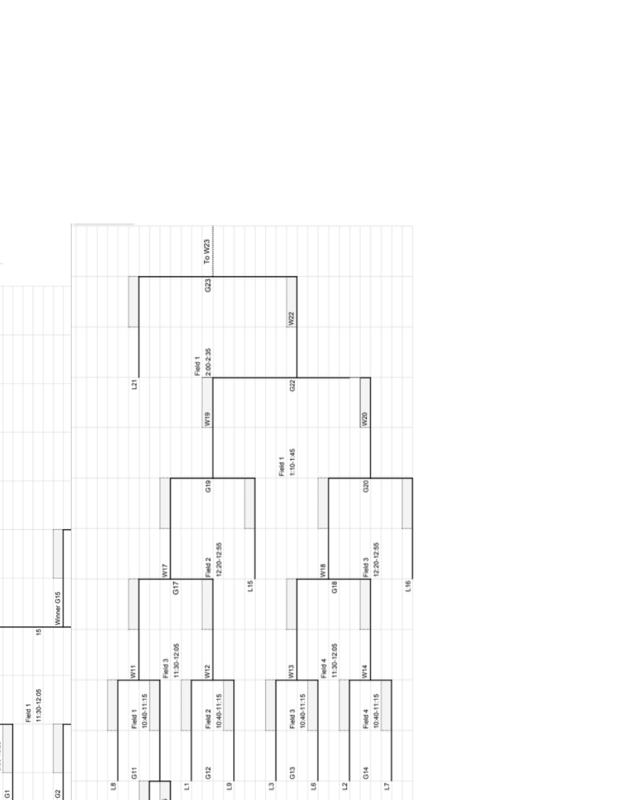|                        |                |                | $\overline{121}$ |             |         |             | Field 1 | $2:00 - 2:35$   |              |     |              |         | <b>W22</b><br>G22      |                |                 |             |                |         |             |                |     |
|------------------------|----------------|----------------|------------------|-------------|---------|-------------|---------|-----------------|--------------|-----|--------------|---------|------------------------|----------------|-----------------|-------------|----------------|---------|-------------|----------------|-----|
|                        |                |                |                  |             |         |             |         | W <sub>19</sub> |              |     |              |         |                        |                |                 |             |                | W20     |             |                |     |
|                        |                |                |                  |             |         |             |         | G19             |              |     |              | Field 1 | 1:10-1:45              |                |                 |             |                | G20     |             |                |     |
|                        |                |                |                  |             | VI17    |             |         | Field 2         | 12:20-12:55  |     |              |         |                        |                | W <sub>18</sub> |             |                | Field 3 | 12:20-12:55 |                |     |
| 15                     | Winner G15     |                |                  |             |         | G17         |         |                 |              | L15 |              |         |                        |                |                 | G18         |                |         |             |                | L16 |
|                        |                |                | $\frac{1}{2}$    |             | Field 3 | 11:30-12:05 |         | $\frac{2}{3}$   |              |     |              |         | $\frac{3}{2}$          |                | Field 4         | 11:30-12:05 |                | W14     |             |                |     |
| 11:30-12:05<br>Field 1 |                |                | Field 1          | 10:40-11:15 |         |             |         | Field 2         | 10:40-11:15  |     |              |         | 10:40-11:15<br>Field 3 |                |                 |             |                | Field 4 | 10:40-11:15 |                |     |
|                        | G <sub>2</sub> | $\overline{3}$ | $\overline{5}$   |             |         | S           |         | G <sub>12</sub> | $\mathbf{C}$ |     | $\mathbf{C}$ |         | G <sub>13</sub>        | $\overline{5}$ |                 |             | $\overline{a}$ | G14     |             | $\overline{1}$ |     |

 $\overline{G}$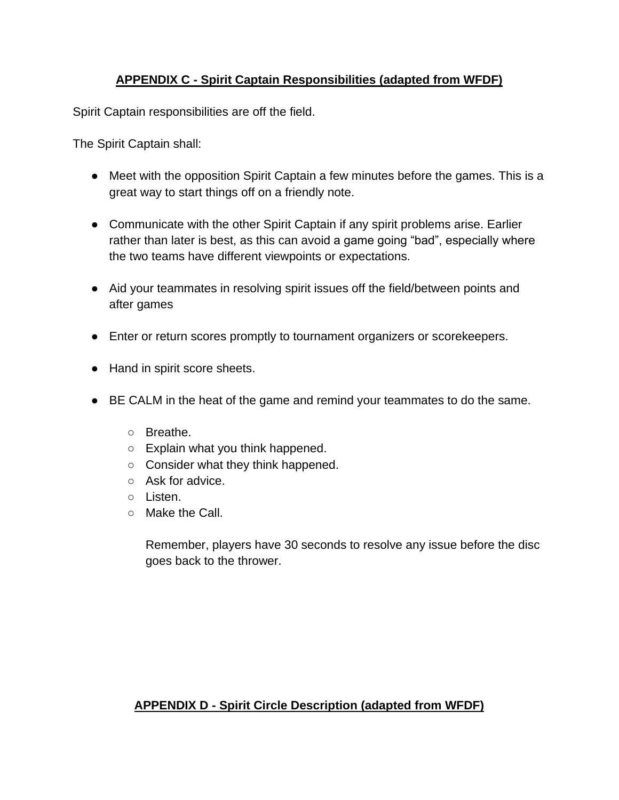## **APPENDIX C - Spirit Captain Responsibilities (adapted from WFDF)**

Spirit Captain responsibilities are off the field.

The Spirit Captain shall:

- Meet with the opposition Spirit Captain a few minutes before the games. This is a great way to start things off on a friendly note.
- Communicate with the other Spirit Captain if any spirit problems arise. Earlier rather than later is best, as this can avoid a game going "bad", especially where the two teams have different viewpoints or expectations.
- Aid your teammates in resolving spirit issues off the field/between points and after games
- Enter or return scores promptly to tournament organizers or scorekeepers.
- Hand in spirit score sheets.
- BE CALM in the heat of the game and remind your teammates to do the same.
	- Breathe.
	- Explain what you think happened.
	- Consider what they think happened.
	- Ask for advice.
	- Listen.
	- Make the Call.

Remember, players have 30 seconds to resolve any issue before the disc goes back to the thrower.

## **APPENDIX D - Spirit Circle Description (adapted from WFDF)**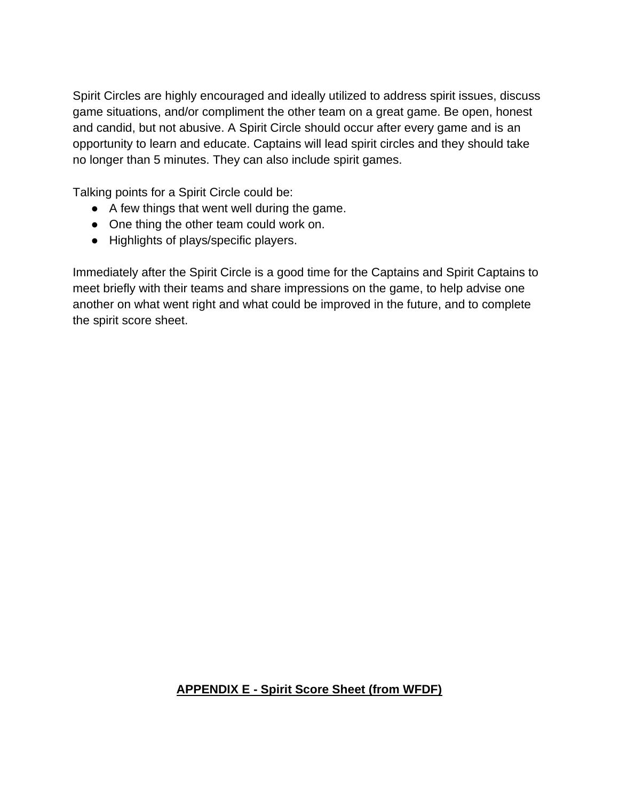Spirit Circles are highly encouraged and ideally utilized to address spirit issues, discuss game situations, and/or compliment the other team on a great game. Be open, honest and candid, but not abusive. A Spirit Circle should occur after every game and is an opportunity to learn and educate. Captains will lead spirit circles and they should take no longer than 5 minutes. They can also include spirit games.

Talking points for a Spirit Circle could be:

- A few things that went well during the game.
- One thing the other team could work on.
- Highlights of plays/specific players.

Immediately after the Spirit Circle is a good time for the Captains and Spirit Captains to meet briefly with their teams and share impressions on the game, to help advise one another on what went right and what could be improved in the future, and to complete the spirit score sheet.

#### **APPENDIX E - Spirit Score Sheet (from WFDF)**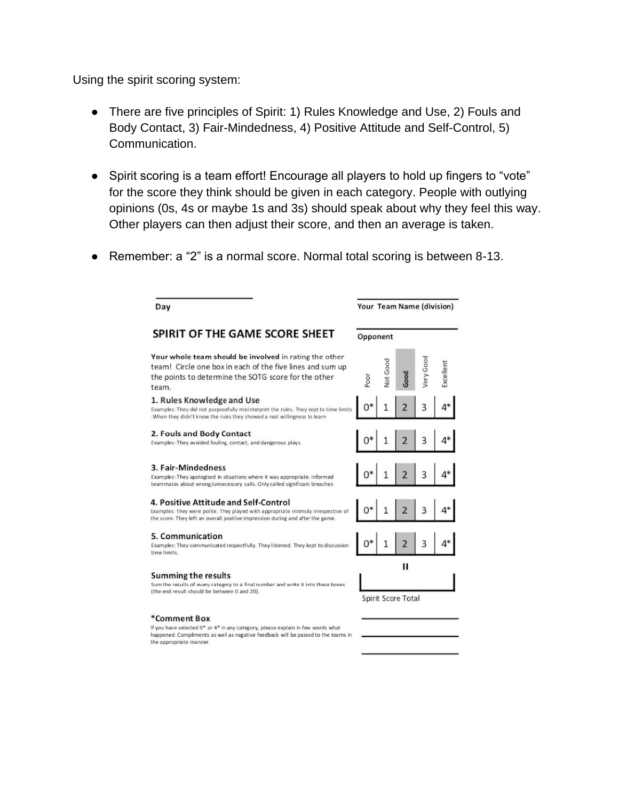Using the spirit scoring system:

the appropriate manner.

- There are five principles of Spirit: 1) Rules Knowledge and Use, 2) Fouls and Body Contact, 3) Fair-Mindedness, 4) Positive Attitude and Self-Control, 5) Communication.
- Spirit scoring is a team effort! Encourage all players to hold up fingers to "vote" for the score they think should be given in each category. People with outlying opinions (0s, 4s or maybe 1s and 3s) should speak about why they feel this way. Other players can then adjust their score, and then an average is taken.
- Remember: a "2" is a normal score. Normal total scoring is between 8-13.

| Day                                                                                                                                                                                                           |          |                 |                    |          | Your Team Name (division) |
|---------------------------------------------------------------------------------------------------------------------------------------------------------------------------------------------------------------|----------|-----------------|--------------------|----------|---------------------------|
| SPIRIT OF THE GAME SCORE SHEET                                                                                                                                                                                | Opponent |                 |                    |          |                           |
| Your whole team should be involved in rating the other<br>team! Circle one box in each of the five lines and sum up<br>the points to determine the SOTG score for the other<br>team.                          | Poor     | <b>Jot</b> Good | ood                | ery Good | xcellent                  |
| 1. Rules Knowledge and Use<br>Examples: They did not purposefully misinterpret the rules. They kept to time limits<br>.When they didn't know the rules they showed a real willingness to learn                |          | 1               |                    | 3        |                           |
| 2. Fouls and Body Contact<br>Examples: They avoided fouling, contact, and dangerous plays.                                                                                                                    |          |                 |                    |          |                           |
| 3. Fair-Mindedness<br>Examples: They apologized in situations where it was appropriate, informed<br>teammates about wrong/unnecessary calls. Only called significant breaches                                 |          |                 |                    |          |                           |
| 4. Positive Attitude and Self-Control<br>Examples: They were polite. They played with appropriate intensity irrespective of<br>the score. They left an overall positive impression during and after the game. |          |                 |                    |          |                           |
| 5. Communication<br>Examples: They communicated respectfully. They listened. They kept to discussion<br>time limits.                                                                                          |          | 1               | $\overline{2}$     | 3        |                           |
| <b>Summing the results</b><br>Sum the results of every category to a final number and write it into these boxes                                                                                               |          |                 | н                  |          |                           |
| (the end result should be between 0 and 20).                                                                                                                                                                  |          |                 | Spirit Score Total |          |                           |
| *Comment Box<br>If you have selected 0* or 4* in any category, please explain in few words what<br>happened. Compliments as well as negative feedback will be passed to the teams in                          |          |                 |                    |          |                           |